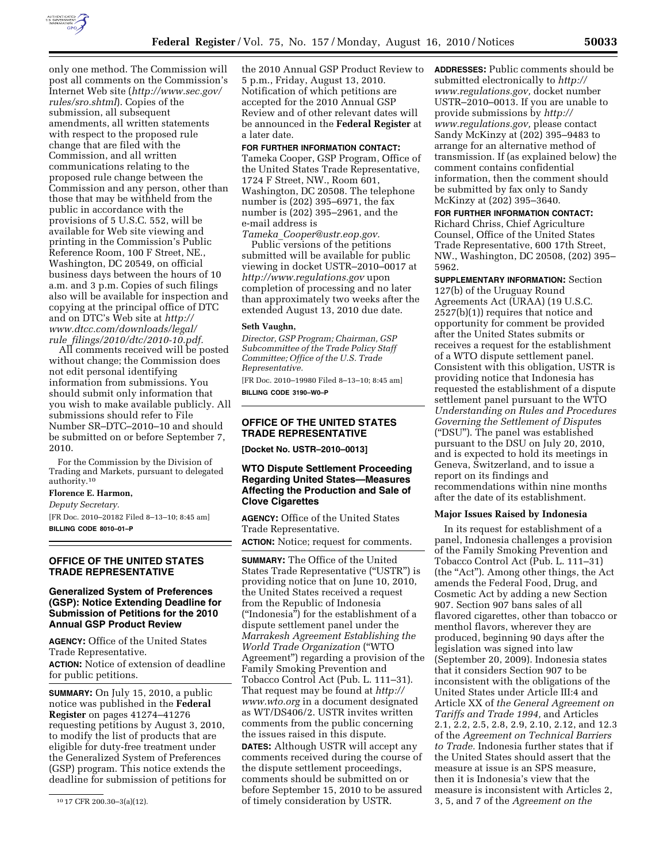

only one method. The Commission will post all comments on the Commission's Internet Web site (*[http://www.sec.gov/](http://www.sec.gov/rules/sro.shtml)  [rules/sro.shtml](http://www.sec.gov/rules/sro.shtml)*). Copies of the submission, all subsequent amendments, all written statements with respect to the proposed rule change that are filed with the Commission, and all written communications relating to the proposed rule change between the Commission and any person, other than those that may be withheld from the public in accordance with the provisions of 5 U.S.C. 552, will be available for Web site viewing and printing in the Commission's Public Reference Room, 100 F Street, NE., Washington, DC 20549, on official business days between the hours of 10 a.m. and 3 p.m. Copies of such filings also will be available for inspection and copying at the principal office of DTC and on DTC's Web site at *[http://](http://www.dtcc.com/downloads/legal/rule_filings/2010/dtc/2010-10.pdf)  [www.dtcc.com/downloads/legal/](http://www.dtcc.com/downloads/legal/rule_filings/2010/dtc/2010-10.pdf)  rule*\_*[filings/2010/dtc/2010-10.pdf.](http://www.dtcc.com/downloads/legal/rule_filings/2010/dtc/2010-10.pdf)* 

All comments received will be posted without change; the Commission does not edit personal identifying information from submissions. You should submit only information that you wish to make available publicly. All submissions should refer to File Number SR–DTC–2010–10 and should be submitted on or before September 7, 2010.

For the Commission by the Division of Trading and Markets, pursuant to delegated authority.10

#### **Florence E. Harmon,**

*Deputy Secretary.* 

[FR Doc. 2010–20182 Filed 8–13–10; 8:45 am] **BILLING CODE 8010–01–P** 

### **OFFICE OF THE UNITED STATES TRADE REPRESENTATIVE**

### **Generalized System of Preferences (GSP): Notice Extending Deadline for Submission of Petitions for the 2010 Annual GSP Product Review**

**AGENCY:** Office of the United States Trade Representative.

**ACTION:** Notice of extension of deadline for public petitions.

**SUMMARY:** On July 15, 2010, a public notice was published in the **Federal Register** on pages 41274–41276 requesting petitions by August 3, 2010, to modify the list of products that are eligible for duty-free treatment under the Generalized System of Preferences (GSP) program. This notice extends the deadline for submission of petitions for the 2010 Annual GSP Product Review to 5 p.m., Friday, August 13, 2010. Notification of which petitions are accepted for the 2010 Annual GSP Review and of other relevant dates will be announced in the **Federal Register** at a later date.

### **FOR FURTHER INFORMATION CONTACT:**

Tameka Cooper, GSP Program, Office of the United States Trade Representative, 1724 F Street, NW., Room 601, Washington, DC 20508. The telephone number is (202) 395–6971, the fax number is (202) 395–2961, and the e-mail address is

*Tameka*\_*[Cooper@ustr.eop.gov.](mailto:Tameka_Cooper@ustr.eop.gov)*  Public versions of the petitions submitted will be available for public viewing in docket USTR–2010–0017 at *<http://www.regulations.gov>* upon completion of processing and no later than approximately two weeks after the extended August 13, 2010 due date.

#### **Seth Vaughn,**

*Director, GSP Program; Chairman, GSP Subcommittee of the Trade Policy Staff Committee; Office of the U.S. Trade Representative.* 

[FR Doc. 2010–19980 Filed 8–13–10; 8:45 am] **BILLING CODE 3190–W0–P** 

# **OFFICE OF THE UNITED STATES TRADE REPRESENTATIVE**

**[Docket No. USTR–2010–0013]** 

# **WTO Dispute Settlement Proceeding Regarding United States—Measures Affecting the Production and Sale of Clove Cigarettes**

**AGENCY:** Office of the United States Trade Representative.

**ACTION:** Notice; request for comments.

**SUMMARY:** The Office of the United States Trade Representative (''USTR'') is providing notice that on June 10, 2010, the United States received a request from the Republic of Indonesia (''Indonesia'') for the establishment of a dispute settlement panel under the *Marrakesh Agreement Establishing the World Trade Organization* (''WTO Agreement'') regarding a provision of the Family Smoking Prevention and Tobacco Control Act (Pub. L. 111–31). That request may be found at *[http://](http://www.wto.org) [www.wto.org](http://www.wto.org)* in a document designated as WT/DS406/2. USTR invites written comments from the public concerning the issues raised in this dispute.

**DATES:** Although USTR will accept any comments received during the course of the dispute settlement proceedings, comments should be submitted on or before September 15, 2010 to be assured of timely consideration by USTR.

**ADDRESSES:** Public comments should be submitted electronically to *[http://](http://www.regulations.gov)  [www.regulations.gov,](http://www.regulations.gov)* docket number USTR–2010–0013. If you are unable to provide submissions by *[http://](http://www.regulations.gov)  [www.regulations.gov,](http://www.regulations.gov)* please contact Sandy McKinzy at (202) 395–9483 to arrange for an alternative method of transmission. If (as explained below) the comment contains confidential information, then the comment should be submitted by fax only to Sandy McKinzy at (202) 395–3640.

**FOR FURTHER INFORMATION CONTACT:**  Richard Chriss, Chief Agriculture Counsel, Office of the United States Trade Representative, 600 17th Street, NW., Washington, DC 20508, (202) 395– 5962.

**SUPPLEMENTARY INFORMATION:** Section 127(b) of the Uruguay Round Agreements Act (URAA) (19 U.S.C. 2527(b)(1)) requires that notice and opportunity for comment be provided after the United States submits or receives a request for the establishment of a WTO dispute settlement panel. Consistent with this obligation, USTR is providing notice that Indonesia has requested the establishment of a dispute settlement panel pursuant to the WTO *Understanding on Rules and Procedures Governing the Settlement of Dispute*s (''DSU''). The panel was established pursuant to the DSU on July 20, 2010, and is expected to hold its meetings in Geneva, Switzerland, and to issue a report on its findings and recommendations within nine months after the date of its establishment.

### **Major Issues Raised by Indonesia**

In its request for establishment of a panel, Indonesia challenges a provision of the Family Smoking Prevention and Tobacco Control Act (Pub. L. 111–31) (the ''Act''). Among other things, the Act amends the Federal Food, Drug, and Cosmetic Act by adding a new Section 907. Section 907 bans sales of all flavored cigarettes, other than tobacco or menthol flavors, wherever they are produced, beginning 90 days after the legislation was signed into law (September 20, 2009). Indonesia states that it considers Section 907 to be inconsistent with the obligations of the United States under Article III:4 and Article XX of *the General Agreement on Tariffs and Trade 1994,* and Articles 2.1, 2.2, 2.5, 2.8, 2.9, 2.10, 2.12, and 12.3 of the *Agreement on Technical Barriers to Trade.* Indonesia further states that if the United States should assert that the measure at issue is an SPS measure, then it is Indonesia's view that the measure is inconsistent with Articles 2, 3, 5, and 7 of the *Agreement on the* 

<sup>10</sup> 17 CFR 200.30–3(a)(12).